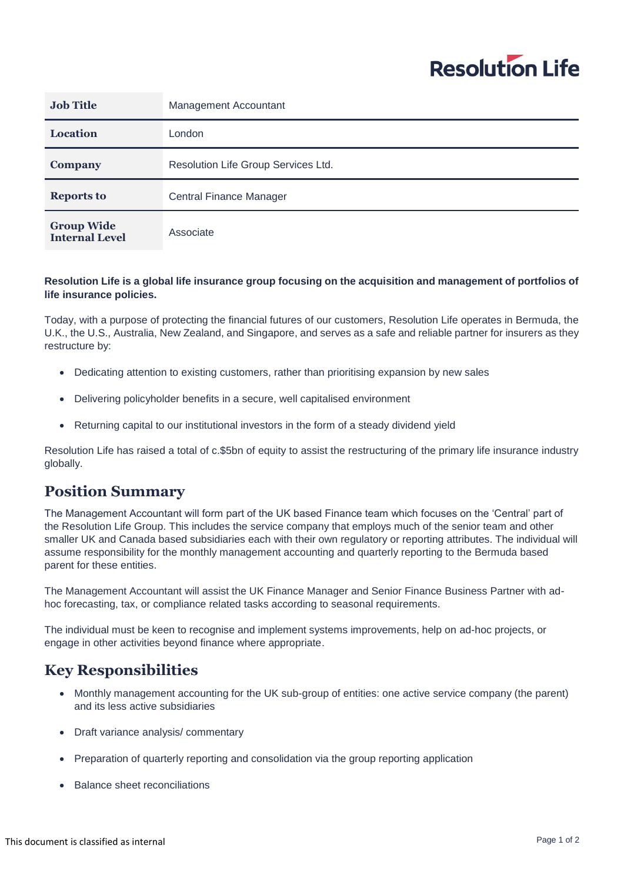# **Resolution Life**

| <b>Job Title</b>                           | Management Accountant               |
|--------------------------------------------|-------------------------------------|
| <b>Location</b>                            | London                              |
| Company                                    | Resolution Life Group Services Ltd. |
| <b>Reports to</b>                          | <b>Central Finance Manager</b>      |
| <b>Group Wide</b><br><b>Internal Level</b> | Associate                           |

#### **Resolution Life is a global life insurance group focusing on the acquisition and management of portfolios of life insurance policies.**

Today, with a purpose of protecting the financial futures of our customers, Resolution Life operates in Bermuda, the U.K., the U.S., Australia, New Zealand, and Singapore, and serves as a safe and reliable partner for insurers as they restructure by:

- Dedicating attention to existing customers, rather than prioritising expansion by new sales
- Delivering policyholder benefits in a secure, well capitalised environment
- Returning capital to our institutional investors in the form of a steady dividend yield

Resolution Life has raised a total of c.\$5bn of equity to assist the restructuring of the primary life insurance industry globally.

### **Position Summary**

The Management Accountant will form part of the UK based Finance team which focuses on the 'Central' part of the Resolution Life Group. This includes the service company that employs much of the senior team and other smaller UK and Canada based subsidiaries each with their own regulatory or reporting attributes. The individual will assume responsibility for the monthly management accounting and quarterly reporting to the Bermuda based parent for these entities.

The Management Accountant will assist the UK Finance Manager and Senior Finance Business Partner with adhoc forecasting, tax, or compliance related tasks according to seasonal requirements.

The individual must be keen to recognise and implement systems improvements, help on ad-hoc projects, or engage in other activities beyond finance where appropriate.

## **Key Responsibilities**

- Monthly management accounting for the UK sub-group of entities: one active service company (the parent) and its less active subsidiaries
- Draft variance analysis/ commentary
- Preparation of quarterly reporting and consolidation via the group reporting application
- Balance sheet reconciliations